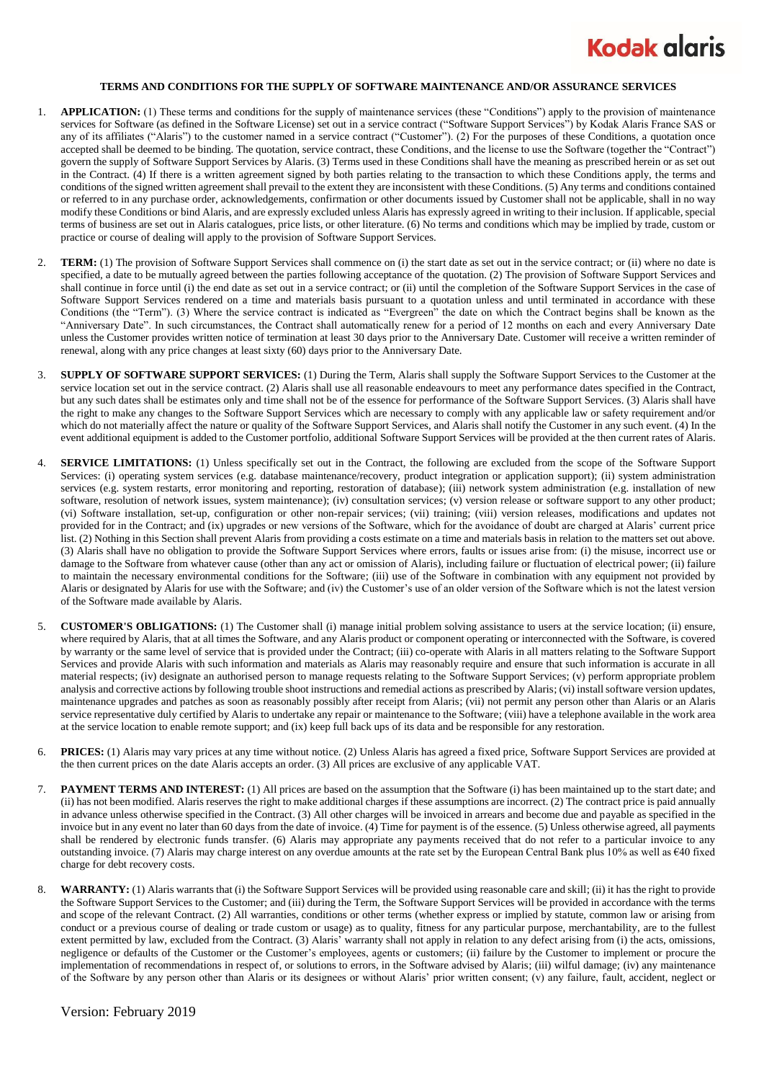

## **TERMS AND CONDITIONS FOR THE SUPPLY OF SOFTWARE MAINTENANCE AND/OR ASSURANCE SERVICES**

- 1. **APPLICATION:** (1) These terms and conditions for the supply of maintenance services (these "Conditions") apply to the provision of maintenance services for Software (as defined in the Software License) set out in a service contract ("Software Support Services") by Kodak Alaris France SAS or any of its affiliates ("Alaris") to the customer named in a service contract ("Customer"). (2) For the purposes of these Conditions, a quotation once accepted shall be deemed to be binding. The quotation, service contract, these Conditions, and the license to use the Software (together the "Contract") govern the supply of Software Support Services by Alaris. (3) Terms used in these Conditions shall have the meaning as prescribed herein or as set out in the Contract. (4) If there is a written agreement signed by both parties relating to the transaction to which these Conditions apply, the terms and conditions of the signed written agreement shall prevail to the extent they are inconsistent with these Conditions. (5) Any terms and conditions contained or referred to in any purchase order, acknowledgements, confirmation or other documents issued by Customer shall not be applicable, shall in no way modify these Conditions or bind Alaris, and are expressly excluded unless Alaris has expressly agreed in writing to their inclusion. If applicable, special terms of business are set out in Alaris catalogues, price lists, or other literature. (6) No terms and conditions which may be implied by trade, custom or practice or course of dealing will apply to the provision of Software Support Services.
- 2. **TERM:** (1) The provision of Software Support Services shall commence on (i) the start date as set out in the service contract; or (ii) where no date is specified, a date to be mutually agreed between the parties following acceptance of the quotation. (2) The provision of Software Support Services and shall continue in force until (i) the end date as set out in a service contract; or (ii) until the completion of the Software Support Services in the case of Software Support Services rendered on a time and materials basis pursuant to a quotation unless and until terminated in accordance with these Conditions (the "Term"). (3) Where the service contract is indicated as "Evergreen" the date on which the Contract begins shall be known as the "Anniversary Date". In such circumstances, the Contract shall automatically renew for a period of 12 months on each and every Anniversary Date unless the Customer provides written notice of termination at least 30 days prior to the Anniversary Date. Customer will receive a written reminder of renewal, along with any price changes at least sixty (60) days prior to the Anniversary Date.
- 3. **SUPPLY OF SOFTWARE SUPPORT SERVICES:** (1) During the Term, Alaris shall supply the Software Support Services to the Customer at the service location set out in the service contract. (2) Alaris shall use all reasonable endeavours to meet any performance dates specified in the Contract, but any such dates shall be estimates only and time shall not be of the essence for performance of the Software Support Services. (3) Alaris shall have the right to make any changes to the Software Support Services which are necessary to comply with any applicable law or safety requirement and/or which do not materially affect the nature or quality of the Software Support Services, and Alaris shall notify the Customer in any such event. (4) In the event additional equipment is added to the Customer portfolio, additional Software Support Services will be provided at the then current rates of Alaris.
- 4. **SERVICE LIMITATIONS:** (1) Unless specifically set out in the Contract, the following are excluded from the scope of the Software Support Services: (i) operating system services (e.g. database maintenance/recovery, product integration or application support); (ii) system administration services (e.g. system restarts, error monitoring and reporting, restoration of database); (iii) network system administration (e.g. installation of new software, resolution of network issues, system maintenance); (iv) consultation services; (v) version release or software support to any other product; (vi) Software installation, set-up, configuration or other non-repair services; (vii) training; (viii) version releases, modifications and updates not provided for in the Contract; and (ix) upgrades or new versions of the Software, which for the avoidance of doubt are charged at Alaris' current price list. (2) Nothing in this Section shall prevent Alaris from providing a costs estimate on a time and materials basis in relation to the matters set out above. (3) Alaris shall have no obligation to provide the Software Support Services where errors, faults or issues arise from: (i) the misuse, incorrect use or damage to the Software from whatever cause (other than any act or omission of Alaris), including failure or fluctuation of electrical power; (ii) failure to maintain the necessary environmental conditions for the Software; (iii) use of the Software in combination with any equipment not provided by Alaris or designated by Alaris for use with the Software; and (iv) the Customer's use of an older version of the Software which is not the latest version of the Software made available by Alaris.
- 5. **CUSTOMER'S OBLIGATIONS:** (1) The Customer shall (i) manage initial problem solving assistance to users at the service location; (ii) ensure, where required by Alaris, that at all times the Software, and any Alaris product or component operating or interconnected with the Software, is covered by warranty or the same level of service that is provided under the Contract; (iii) co-operate with Alaris in all matters relating to the Software Support Services and provide Alaris with such information and materials as Alaris may reasonably require and ensure that such information is accurate in all material respects; (iv) designate an authorised person to manage requests relating to the Software Support Services; (v) perform appropriate problem analysis and corrective actions by following trouble shoot instructions and remedial actions as prescribed by Alaris; (vi) install software version updates, maintenance upgrades and patches as soon as reasonably possibly after receipt from Alaris; (vii) not permit any person other than Alaris or an Alaris service representative duly certified by Alaris to undertake any repair or maintenance to the Software; (viii) have a telephone available in the work area at the service location to enable remote support; and (ix) keep full back ups of its data and be responsible for any restoration.
- 6. **PRICES:** (1) Alaris may vary prices at any time without notice. (2) Unless Alaris has agreed a fixed price, Software Support Services are provided at the then current prices on the date Alaris accepts an order. (3) All prices are exclusive of any applicable VAT.
- 7. **PAYMENT TERMS AND INTEREST:** (1) All prices are based on the assumption that the Software (i) has been maintained up to the start date; and (ii) has not been modified. Alaris reserves the right to make additional charges if these assumptions are incorrect. (2) The contract price is paid annually in advance unless otherwise specified in the Contract. (3) All other charges will be invoiced in arrears and become due and payable as specified in the invoice but in any event no later than 60 days from the date of invoice. (4) Time for payment is of the essence. (5) Unless otherwise agreed, all payments shall be rendered by electronic funds transfer. (6) Alaris may appropriate any payments received that do not refer to a particular invoice to any outstanding invoice. (7) Alaris may charge interest on any overdue amounts at the rate set by the European Central Bank plus 10% as well as €40 fixed charge for debt recovery costs.
- WARRANTY: (1) Alaris warrants that (i) the Software Support Services will be provided using reasonable care and skill; (ii) it has the right to provide the Software Support Services to the Customer; and (iii) during the Term, the Software Support Services will be provided in accordance with the terms and scope of the relevant Contract. (2) All warranties, conditions or other terms (whether express or implied by statute, common law or arising from conduct or a previous course of dealing or trade custom or usage) as to quality, fitness for any particular purpose, merchantability, are to the fullest extent permitted by law, excluded from the Contract. (3) Alaris' warranty shall not apply in relation to any defect arising from (i) the acts, omissions, negligence or defaults of the Customer or the Customer's employees, agents or customers; (ii) failure by the Customer to implement or procure the implementation of recommendations in respect of, or solutions to errors, in the Software advised by Alaris; (iii) wilful damage; (iv) any maintenance of the Software by any person other than Alaris or its designees or without Alaris' prior written consent; (v) any failure, fault, accident, neglect or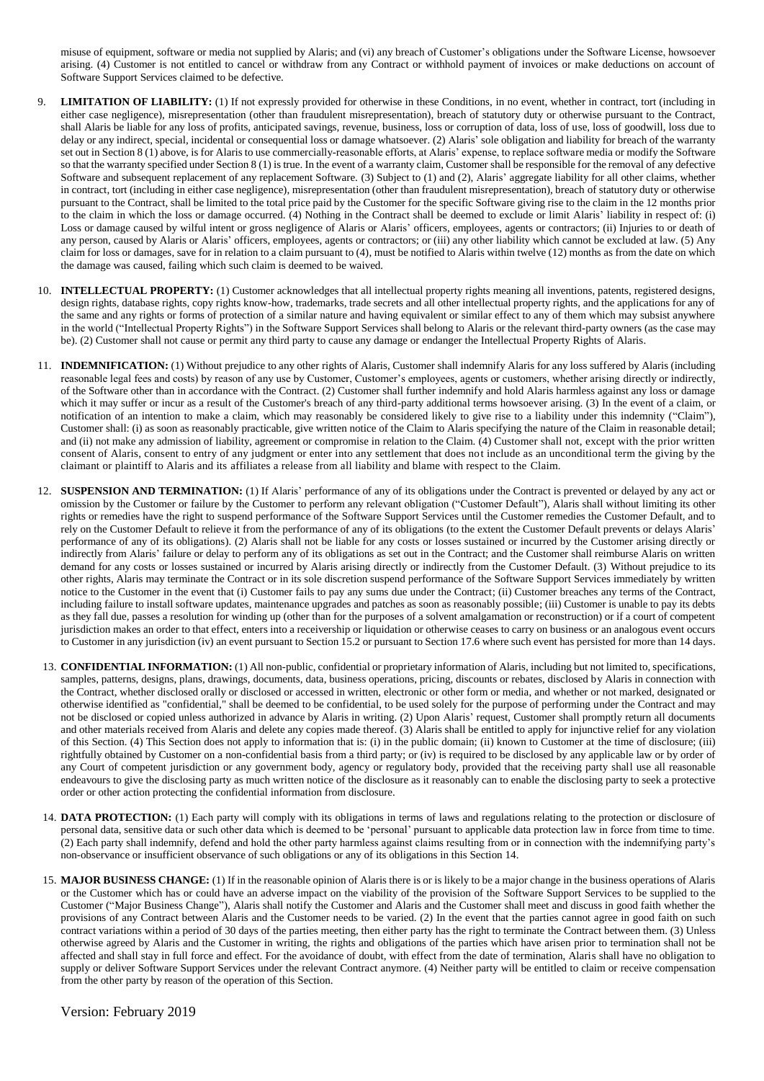misuse of equipment, software or media not supplied by Alaris; and (vi) any breach of Customer's obligations under the Software License, howsoever arising. (4) Customer is not entitled to cancel or withdraw from any Contract or withhold payment of invoices or make deductions on account of Software Support Services claimed to be defective.

- 9. **LIMITATION OF LIABILITY:** (1) If not expressly provided for otherwise in these Conditions, in no event, whether in contract, tort (including in either case negligence), misrepresentation (other than fraudulent misrepresentation), breach of statutory duty or otherwise pursuant to the Contract, shall Alaris be liable for any loss of profits, anticipated savings, revenue, business, loss or corruption of data, loss of use, loss of goodwill, loss due to delay or any indirect, special, incidental or consequential loss or damage whatsoever. (2) Alaris' sole obligation and liability for breach of the warranty set out in Section 8 (1) above, is for Alaris to use commercially-reasonable efforts, at Alaris' expense, to replace software media or modify the Software so that the warranty specified under Section 8 (1) is true. In the event of a warranty claim, Customer shall be responsible for the removal of any defective Software and subsequent replacement of any replacement Software. (3) Subject to (1) and (2), Alaris' aggregate liability for all other claims, whether in contract, tort (including in either case negligence), misrepresentation (other than fraudulent misrepresentation), breach of statutory duty or otherwise pursuant to the Contract, shall be limited to the total price paid by the Customer for the specific Software giving rise to the claim in the 12 months prior to the claim in which the loss or damage occurred. (4) Nothing in the Contract shall be deemed to exclude or limit Alaris' liability in respect of: (i) Loss or damage caused by wilful intent or gross negligence of Alaris or Alaris' officers, employees, agents or contractors; (ii) Injuries to or death of any person, caused by Alaris or Alaris' officers, employees, agents or contractors; or (iii) any other liability which cannot be excluded at law. (5) Any claim for loss or damages, save for in relation to a claim pursuant to (4), must be notified to Alaris within twelve (12) months as from the date on which the damage was caused, failing which such claim is deemed to be waived.
- 10. **INTELLECTUAL PROPERTY:** (1) Customer acknowledges that all intellectual property rights meaning all inventions, patents, registered designs, design rights, database rights, copy rights know-how, trademarks, trade secrets and all other intellectual property rights, and the applications for any of the same and any rights or forms of protection of a similar nature and having equivalent or similar effect to any of them which may subsist anywhere in the world ("Intellectual Property Rights") in the Software Support Services shall belong to Alaris or the relevant third-party owners (as the case may be). (2) Customer shall not cause or permit any third party to cause any damage or endanger the Intellectual Property Rights of Alaris.
- 11. **INDEMNIFICATION:** (1) Without prejudice to any other rights of Alaris, Customer shall indemnify Alaris for any loss suffered by Alaris (including reasonable legal fees and costs) by reason of any use by Customer, Customer's employees, agents or customers, whether arising directly or indirectly, of the Software other than in accordance with the Contract. (2) Customer shall further indemnify and hold Alaris harmless against any loss or damage which it may suffer or incur as a result of the Customer's breach of any third-party additional terms howsoever arising. (3) In the event of a claim, or notification of an intention to make a claim, which may reasonably be considered likely to give rise to a liability under this indemnity ("Claim"), Customer shall: (i) as soon as reasonably practicable, give written notice of the Claim to Alaris specifying the nature of the Claim in reasonable detail; and (ii) not make any admission of liability, agreement or compromise in relation to the Claim. (4) Customer shall not, except with the prior written consent of Alaris, consent to entry of any judgment or enter into any settlement that does not include as an unconditional term the giving by the claimant or plaintiff to Alaris and its affiliates a release from all liability and blame with respect to the Claim.
- 12. **SUSPENSION AND TERMINATION:** (1) If Alaris' performance of any of its obligations under the Contract is prevented or delayed by any act or omission by the Customer or failure by the Customer to perform any relevant obligation ("Customer Default"), Alaris shall without limiting its other rights or remedies have the right to suspend performance of the Software Support Services until the Customer remedies the Customer Default, and to rely on the Customer Default to relieve it from the performance of any of its obligations (to the extent the Customer Default prevents or delays Alaris' performance of any of its obligations). (2) Alaris shall not be liable for any costs or losses sustained or incurred by the Customer arising directly or indirectly from Alaris' failure or delay to perform any of its obligations as set out in the Contract; and the Customer shall reimburse Alaris on written demand for any costs or losses sustained or incurred by Alaris arising directly or indirectly from the Customer Default. (3) Without prejudice to its other rights, Alaris may terminate the Contract or in its sole discretion suspend performance of the Software Support Services immediately by written notice to the Customer in the event that (i) Customer fails to pay any sums due under the Contract; (ii) Customer breaches any terms of the Contract, including failure to install software updates, maintenance upgrades and patches as soon as reasonably possible; (iii) Customer is unable to pay its debts as they fall due, passes a resolution for winding up (other than for the purposes of a solvent amalgamation or reconstruction) or if a court of competent jurisdiction makes an order to that effect, enters into a receivership or liquidation or otherwise ceases to carry on business or an analogous event occurs to Customer in any jurisdiction (iv) an event pursuant to Section 15.2 or pursuant to Section 17.6 where such event has persisted for more than 14 days.
- 13. **CONFIDENTIAL INFORMATION:** (1) All non-public, confidential or proprietary information of Alaris, including but not limited to, specifications, samples, patterns, designs, plans, drawings, documents, data, business operations, pricing, discounts or rebates, disclosed by Alaris in connection with the Contract, whether disclosed orally or disclosed or accessed in written, electronic or other form or media, and whether or not marked, designated or otherwise identified as "confidential," shall be deemed to be confidential, to be used solely for the purpose of performing under the Contract and may not be disclosed or copied unless authorized in advance by Alaris in writing. (2) Upon Alaris' request, Customer shall promptly return all documents and other materials received from Alaris and delete any copies made thereof. (3) Alaris shall be entitled to apply for injunctive relief for any violation of this Section. (4) This Section does not apply to information that is: (i) in the public domain; (ii) known to Customer at the time of disclosure; (iii) rightfully obtained by Customer on a non-confidential basis from a third party; or (iv) is required to be disclosed by any applicable law or by order of any Court of competent jurisdiction or any government body, agency or regulatory body, provided that the receiving party shall use all reasonable endeavours to give the disclosing party as much written notice of the disclosure as it reasonably can to enable the disclosing party to seek a protective order or other action protecting the confidential information from disclosure.
- 14. **DATA PROTECTION:** (1) Each party will comply with its obligations in terms of laws and regulations relating to the protection or disclosure of personal data, sensitive data or such other data which is deemed to be 'personal' pursuant to applicable data protection law in force from time to time. (2) Each party shall indemnify, defend and hold the other party harmless against claims resulting from or in connection with the indemnifying party's non-observance or insufficient observance of such obligations or any of its obligations in this Section 14.
- 15. **MAJOR BUSINESS CHANGE:** (1) If in the reasonable opinion of Alaris there is or is likely to be a major change in the business operations of Alaris or the Customer which has or could have an adverse impact on the viability of the provision of the Software Support Services to be supplied to the Customer ("Major Business Change"), Alaris shall notify the Customer and Alaris and the Customer shall meet and discuss in good faith whether the provisions of any Contract between Alaris and the Customer needs to be varied. (2) In the event that the parties cannot agree in good faith on such contract variations within a period of 30 days of the parties meeting, then either party has the right to terminate the Contract between them. (3) Unless otherwise agreed by Alaris and the Customer in writing, the rights and obligations of the parties which have arisen prior to termination shall not be affected and shall stay in full force and effect. For the avoidance of doubt, with effect from the date of termination, Alaris shall have no obligation to supply or deliver Software Support Services under the relevant Contract anymore. (4) Neither party will be entitled to claim or receive compensation from the other party by reason of the operation of this Section.